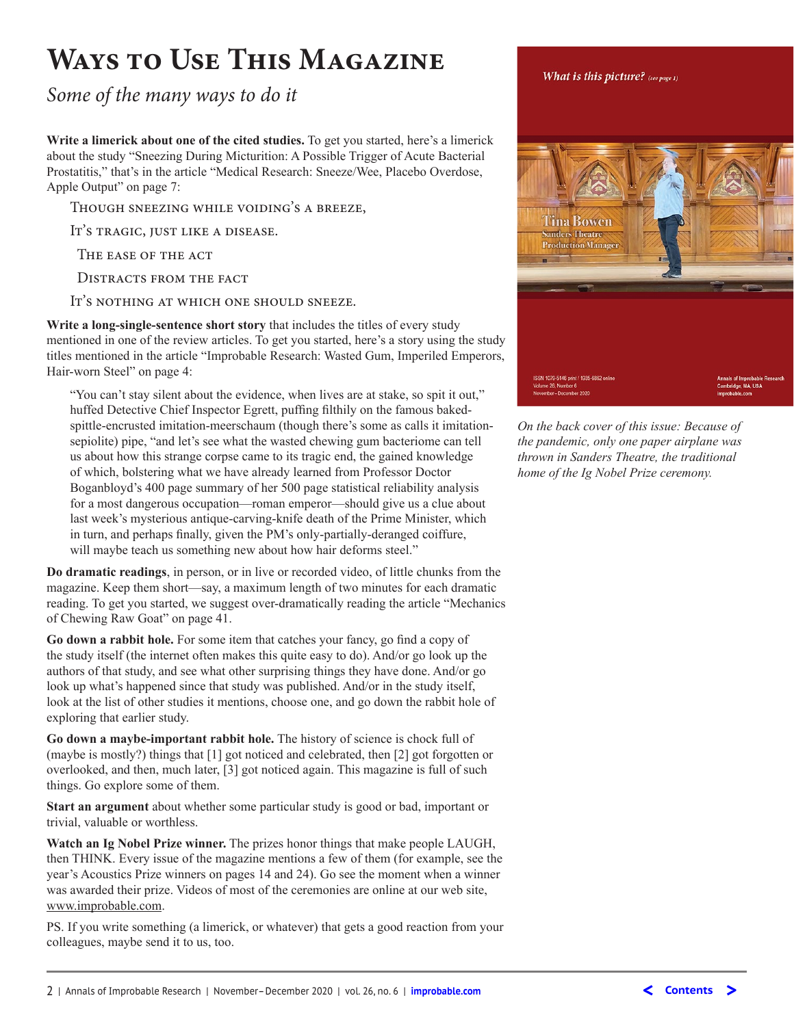# **Ways to Use This Magazine**

*Some of the many ways to do it*

**Write a limerick about one of the cited studies.** To get you started, here's a limerick about the study "Sneezing During Micturition: A Possible Trigger of Acute Bacterial Prostatitis," that's in the article "Medical Research: Sneeze/Wee, Placebo Overdose, Apple Output" on page 7:

Though sneezing while voiding's a breeze,

It's tragic, just like a disease.

The ease of the act

DISTRACTS FROM THE FACT

It's nothing at which one should sneeze.

**Write a long-single-sentence short story** that includes the titles of every study mentioned in one of the review articles. To get you started, here's a story using the study titles mentioned in the article "Improbable Research: Wasted Gum, Imperiled Emperors, Hair-worn Steel" on page 4:

"You can't stay silent about the evidence, when lives are at stake, so spit it out," huffed Detective Chief Inspector Egrett, puffng flthily on the famous bakedspittle-encrusted imitation-meerschaum (though there's some as calls it imitationsepiolite) pipe, "and let's see what the wasted chewing gum bacteriome can tell us about how this strange corpse came to its tragic end, the gained knowledge of which, bolstering what we have already learned from Professor Doctor Boganbloyd's 400 page summary of her 500 page statistical reliability analysis for a most dangerous occupation—roman emperor—should give us a clue about last week's mysterious antique-carving-knife death of the Prime Minister, which in turn, and perhaps fnally, given the PM's only-partially-deranged coiffure, will maybe teach us something new about how hair deforms steel."

**Do dramatic readings**, in person, or in live or recorded video, of little chunks from the magazine. Keep them short—say, a maximum length of two minutes for each dramatic reading. To get you started, we suggest over-dramatically reading the article "Mechanics of Chewing Raw Goat" on page 41.

**Go down a rabbit hole.** For some item that catches your fancy, go fnd a copy of the study itself (the internet often makes this quite easy to do). And/or go look up the authors of that study, and see what other surprising things they have done. And/or go look up what's happened since that study was published. And/or in the study itself, look at the list of other studies it mentions, choose one, and go down the rabbit hole of exploring that earlier study.

**Go down a maybe-important rabbit hole.** The history of science is chock full of (maybe is mostly?) things that [1] got noticed and celebrated, then [2] got forgotten or overlooked, and then, much later, [3] got noticed again. This magazine is full of such things. Go explore some of them.

**Start an argument** about whether some particular study is good or bad, important or trivial, valuable or worthless.

**Watch an Ig Nobel Prize winner.** The prizes honor things that make people LAUGH, then THINK. Every issue of the magazine mentions a few of them (for example, see the year's Acoustics Prize winners on pages 14 and 24). Go see the moment when a winner was awarded their prize. Videos of most of the ceremonies are online at our web site, www.improbable.com.

PS. If you write something (a limerick, or whatever) that gets a good reaction from your colleagues, maybe send it to us, too.

#### What is this picture? (see page 1)



*On the back cover of this issue: Because of the pandemic, only one paper airplane was thrown in Sanders Theatre, the traditional home of the Ig Nobel Prize ceremony.*